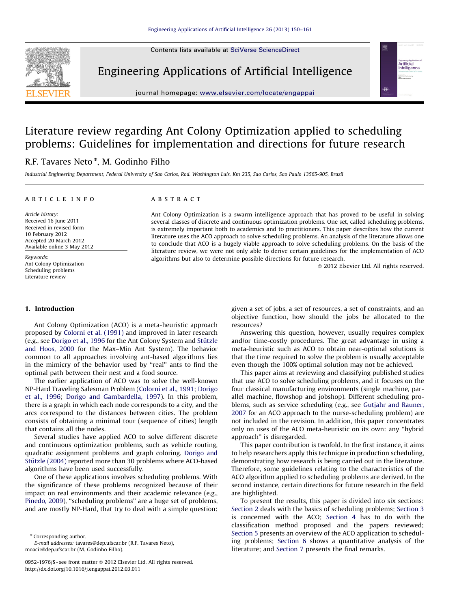Contents lists available at [SciVerse ScienceDirect](www.elsevier.com/locate/engappai) Engineering Applications of Artificial Intelligence



journal homepage: <www.elsevier.com/locate/engappai>

## Literature review regarding Ant Colony Optimization applied to scheduling problems: Guidelines for implementation and directions for future research

### R.F. Tavares Neto<sup>\*</sup>, M. Godinho Filho

Industrial Engineering Department, Federal University of Sao Carlos, Rod. Washington Luis, Km 235, Sao Carlos, Sao Paulo 13565-905, Brazil

#### article info

### **ABSTRACT**

Article history: Received 16 June 2011 Received in revised form 10 February 2012 Accepted 20 March 2012 Available online 3 May 2012

Keywords: Ant Colony Optimization Scheduling problems Literature review

Ant Colony Optimization is a swarm intelligence approach that has proved to be useful in solving several classes of discrete and continuous optimization problems. One set, called scheduling problems, is extremely important both to academics and to practitioners. This paper describes how the current literature uses the ACO approach to solve scheduling problems. An analysis of the literature allows one to conclude that ACO is a hugely viable approach to solve scheduling problems. On the basis of the literature review, we were not only able to derive certain guidelines for the implementation of ACO algorithms but also to determine possible directions for future research.

 $\odot$  2012 Elsevier Ltd. All rights reserved.

#### 1. Introduction

Ant Colony Optimization (ACO) is a meta-heuristic approach proposed by [Colorni et al. \(1991\)](#page--1-0) and improved in later research (e.g., see [Dorigo et al., 1996](#page--1-0) for the Ant Colony System and Stützle [and Hoos, 2000](#page--1-0) for the Max–Min Ant System). The behavior common to all approaches involving ant-based algorithms lies in the mimicry of the behavior used by "real" ants to find the optimal path between their nest and a food source.

The earlier application of ACO was to solve the well-known NP-Hard Traveling Salesman Problem [\(Colorni et al., 1991](#page--1-0); [Dorigo](#page--1-0) [et al., 1996;](#page--1-0) [Dorigo and Gambardella, 1997](#page--1-0)). In this problem, there is a graph in which each node corresponds to a city, and the arcs correspond to the distances between cities. The problem consists of obtaining a minimal tour (sequence of cities) length that contains all the nodes.

Several studies have applied ACO to solve different discrete and continuous optimization problems, such as vehicle routing, quadratic assignment problems and graph coloring. [Dorigo and](#page--1-0) Stützle (2004) reported more than 30 problems where ACO-based algorithms have been used successfully.

One of these applications involves scheduling problems. With the significance of these problems recognized because of their impact on real environments and their academic relevance (e.g., [Pinedo, 2009](#page--1-0)), "scheduling problems" are a huge set of problems, and are mostly NP-Hard, that try to deal with a simple question:

\* Corresponding author.

given a set of jobs, a set of resources, a set of constraints, and an objective function, how should the jobs be allocated to the resources?

Answering this question, however, usually requires complex and/or time-costly procedures. The great advantage in using a meta-heuristic such as ACO to obtain near-optimal solutions is that the time required to solve the problem is usually acceptable even though the 100% optimal solution may not be achieved.

This paper aims at reviewing and classifying published studies that use ACO to solve scheduling problems, and it focuses on the four classical manufacturing environments (single machine, parallel machine, flowshop and jobshop). Different scheduling problems, such as service scheduling (e.g., see [Gutjahr and Rauner,](#page--1-0) [2007](#page--1-0) for an ACO approach to the nurse-scheduling problem) are not included in the revision. In addition, this paper concentrates only on uses of the ACO meta-heuristic on its own: any ''hybrid approach'' is disregarded.

This paper contribution is twofold. In the first instance, it aims to help researchers apply this technique in production scheduling, demonstrating how research is being carried out in the literature. Therefore, some guidelines relating to the characteristics of the ACO algorithm applied to scheduling problems are derived. In the second instance, certain directions for future research in the field are highlighted.

To present the results, this paper is divided into six sections: [Section 2](#page-1-0) deals with the basics of scheduling problems; [Section 3](#page--1-0) is concerned with the ACO; [Section 4](#page--1-0) has to do with the classification method proposed and the papers reviewed; [Section 5](#page--1-0) presents an overview of the ACO application to scheduling problems; [Section 6](#page--1-0) shows a quantitative analysis of the literature; and [Section 7](#page--1-0) presents the final remarks.

E-mail addresses: [tavares@dep.ufscar.br \(R.F. Tavares Neto\)](mailto:tavares@dep.ufscar.br), [moacir@dep.ufscar.br \(M. Godinho Filho\)](mailto:moacir@dep.ufscar.br).

<sup>0952-1976/\$ -</sup> see front matter @ 2012 Elsevier Ltd. All rights reserved. http://dx.doi.org/[10.1016/j.engappai.2012.03.011](dx.doi.org/10.1016/j.engappai.2012.03.011)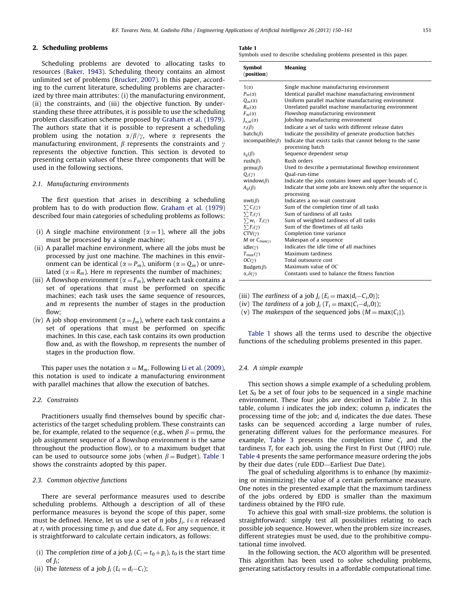#### <span id="page-1-0"></span>2. Scheduling problems

Scheduling problems are devoted to allocating tasks to resources [\(Baker, 1943](#page--1-0)). Scheduling theory contains an almost unlimited set of problems [\(Brucker, 2007\)](#page--1-0). In this paper, according to the current literature, scheduling problems are characterized by three main attributes: (i) the manufacturing environment, (ii) the constraints, and (iii) the objective function. By understanding these three attributes, it is possible to use the scheduling problem classification scheme proposed by [Graham et al. \(1979\).](#page--1-0) The authors state that it is possible to represent a scheduling problem using the notation  $\alpha/\beta/\gamma$ , where  $\alpha$  represents the manufacturing environment,  $\beta$  represents the constraints and  $\gamma$ represents the objective function. This section is devoted to presenting certain values of these three components that will be used in the following sections.

#### 2.1. Manufacturing environments

The first question that arises in describing a scheduling problem has to do with production flow. [Graham et al. \(1979\)](#page--1-0) described four main categories of scheduling problems as follows:

- (i) A single machine environment ( $\alpha = 1$ ), where all the jobs must be processed by a single machine;
- (ii) A parallel machine environment, where all the jobs must be processed by just one machine. The machines in this environment can be identical ( $\alpha = P_m$ ), uniform ( $\alpha = Q_m$ ) or unrelated ( $\alpha = R_m$ ). Here *m* represents the number of machines;
- (iii) A flowshop environment ( $\alpha = F_m$ ), where each task contains a set of operations that must be performed on specific machines; each task uses the same sequence of resources, and m represents the number of stages in the production flow;
- (iv) A job shop environment ( $\alpha = J_m$ ), where each task contains a set of operations that must be performed on specific machines. In this case, each task contains its own production flow and, as with the flowshop, m represents the number of stages in the production flow.

This paper uses the notation  $\alpha = M_m$ . Following [Li et al. \(2009\),](#page--1-0) this notation is used to indicate a manufacturing environment with parallel machines that allow the execution of batches.

#### 2.2. Constraints

Practitioners usually find themselves bound by specific characteristics of the target scheduling problem. These constraints can be, for example, related to the sequence (e.g., when  $\beta = \text{prmu}$ , the job assignment sequence of a flowshop environment is the same throughout the production flow), or to a maximum budget that can be used to outsource some jobs (when  $\beta$  = Budget). Table 1 shows the constraints adopted by this paper.

#### 2.3. Common objective functions

There are several performance measures used to describe scheduling problems. Although a description of all of these performance measures is beyond the scope of this paper, some must be defined. Hence, let us use a set of *n* jobs  $J_i$ ,  $i \in n$  released at  $r_i$  with processing time  $p_i$  and due date  $d_i$ . For any sequence, it is straightforward to calculate certain indicators, as follows:

- (i) The completion time of a job  $J_i$  ( $C_i = t_0 + p_i$ ),  $t_0$  is the start time of  $J_i$ ;
- (ii) The *lateness* of a job  $J_i$  ( $L_i = d_i C_i$ );

#### Table 1

Symbols used to describe scheduling problems presented in this paper.

| <b>Symbol</b><br>(position)  | <b>Meaning</b>                                                                |
|------------------------------|-------------------------------------------------------------------------------|
| $1(\alpha)$                  | Single machine manufacturing environment                                      |
| $P_m(\alpha)$                | Identical parallel machine manufacturing environment                          |
| $O_m(\alpha)$                | Uniform parallel machine manufacturing environment                            |
| $R_m(\alpha)$                | Unrelated parallel machine manufacturing environment                          |
| $F_m(\alpha)$                | Flowshop manufacturing environment                                            |
| $J_{n,m}(\alpha)$            | Jobshop manufacturing environment                                             |
| $r_i(\beta)$                 | Indicate a set of tasks with different release dates                          |
| batch $(\beta)$              | Indicate the possibility of generate production batches                       |
| incompatible( $\beta$ )      | Indicate that exists tasks that cannot belong to the same<br>processing batch |
| $s_{ii}(\beta)$              | Sequence dependent setup                                                      |
| rush( $\beta$ )              | Rush orders                                                                   |
| $prmu(\beta)$                | Used to describe a permutational flowshop environment                         |
| $Q_i(\gamma)$                | Oual-run-time                                                                 |
| window( $\beta$ )            | Indicate the jobs contains lower and upper bounds of $C_i$                    |
| $A_{ii}(\beta)$              | Indicate that some jobs are known only after the sequence is<br>processing    |
| $nwt(\beta)$                 | Indicates a no-wait constraint                                                |
| $\sum C_i(\gamma)$           | Sum of the completion time of all tasks                                       |
| $\sum T_i(\gamma)$           | Sum of tardiness of all tasks                                                 |
| $\sum w_i \cdot T_i(\gamma)$ | Sum of weighted tardiness of all tasks                                        |
| $\sum F_i(\gamma)$           | Sum of the flowtimes of all tasks                                             |
| $CTV(\gamma)$                | Completion time variance                                                      |
| M or $C_{\max(\gamma)}$      | Makespan of a sequence                                                        |
| $idle(\gamma)$               | Indicates the idle time of all machines                                       |
| $T_{\text{max}}(\gamma)$     | Maximum tardiness                                                             |
| $OC(\gamma)$                 | Total outsource cost                                                          |
| Budget( $\beta$ )            | Maximum value of OC                                                           |
| $\alpha, \delta(\gamma)$     | Constants used to balance the fitness function                                |

(iii) The earliness of a job  $J_i$  ( $E_i = max\{d_i - C_i, 0\}$ );

(iv) The tardiness of a job  $J_i$  ( $T_i = \max\{C_i-d_i, 0\}$ );

(v) The makespan of the sequenced jobs  $(M = max{C_i})$ .

Table 1 shows all the terms used to describe the objective functions of the scheduling problems presented in this paper.

#### 2.4. A simple example

This section shows a simple example of a scheduling problem. Let  $S_0$  be a set of four jobs to be sequenced in a single machine environment. These four jobs are described in [Table 2.](#page--1-0) In this table, column *i* indicates the job index; column  $p_i$  indicates the processing time of the job; and  $d_i$  indicates the due dates. These tasks can be sequenced according a large number of rules, generating different values for the performance measures. For example, [Table 3](#page--1-0) presents the completion time  $C_i$  and the tardiness  $T_i$  for each job, using the First In First Out (FIFO) rule. [Table 4](#page--1-0) presents the same performance measure ordering the jobs by their due dates (rule EDD—Earliest Due Date).

The goal of scheduling algorithms is to enhance (by maximizing or minimizing) the value of a certain performance measure. One notes in the presented example that the maximum tardiness of the jobs ordered by EDD is smaller than the maximum tardiness obtained by the FIFO rule.

To achieve this goal with small-size problems, the solution is straightforward: simply test all possibilities relating to each possible job sequence. However, when the problem size increases, different strategies must be used, due to the prohibitive computational time involved.

In the following section, the ACO algorithm will be presented. This algorithm has been used to solve scheduling problems, generating satisfactory results in a affordable computational time.